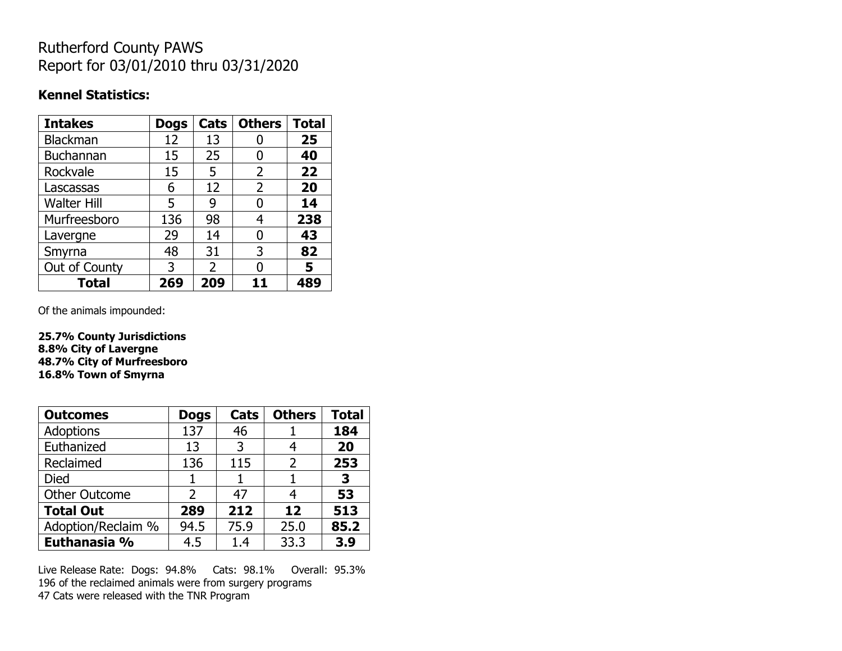## Rutherford County PAWS Report for 03/01/2010 thru 03/31/2020

#### **Kennel Statistics:**

| <b>Intakes</b>     | <b>Dogs</b> | Cats          | <b>Others</b>  | <b>Total</b> |
|--------------------|-------------|---------------|----------------|--------------|
| <b>Blackman</b>    | 12          | 13            |                | 25           |
| <b>Buchannan</b>   | 15          | 25            | 0              | 40           |
| Rockvale           | 15          | 5             | $\overline{2}$ | 22           |
| Lascassas          | 6           | 12            | 2              | 20           |
| <b>Walter Hill</b> | 5           | 9             | N              | 14           |
| Murfreesboro       | 136         | 98            | 4              | 238          |
| Lavergne           | 29          | 14            | O              | 43           |
| Smyrna             | 48          | 31            | 3              | 82           |
| Out of County      | 3           | $\mathcal{P}$ | O              | 5            |
| <b>Total</b>       | 269         | 209           | 11             | 489          |

Of the animals impounded:

**25.7% County Jurisdictions 8.8% City of Lavergne 48.7% City of Murfreesboro 16.8% Town of Smyrna**

| <b>Outcomes</b>      | <b>Dogs</b> | Cats | <b>Others</b> | <b>Total</b> |
|----------------------|-------------|------|---------------|--------------|
| <b>Adoptions</b>     | 137         | 46   |               | 184          |
| Euthanized           | 13          | 3    | 4             | 20           |
| Reclaimed            | 136         | 115  | $\mathcal{P}$ | 253          |
| Died                 |             |      |               | 3            |
| <b>Other Outcome</b> | 2           | 47   | 4             | 53           |
| <b>Total Out</b>     | 289         | 212  | 12            | 513          |
| Adoption/Reclaim %   | 94.5        | 75.9 | 25.0          | 85.2         |
| Euthanasia %         | 4.5         | 1.4  | 33.3          | 3.9          |

Live Release Rate: Dogs: 94.8% Cats: 98.1% Overall: 95.3% 196 of the reclaimed animals were from surgery programs 47 Cats were released with the TNR Program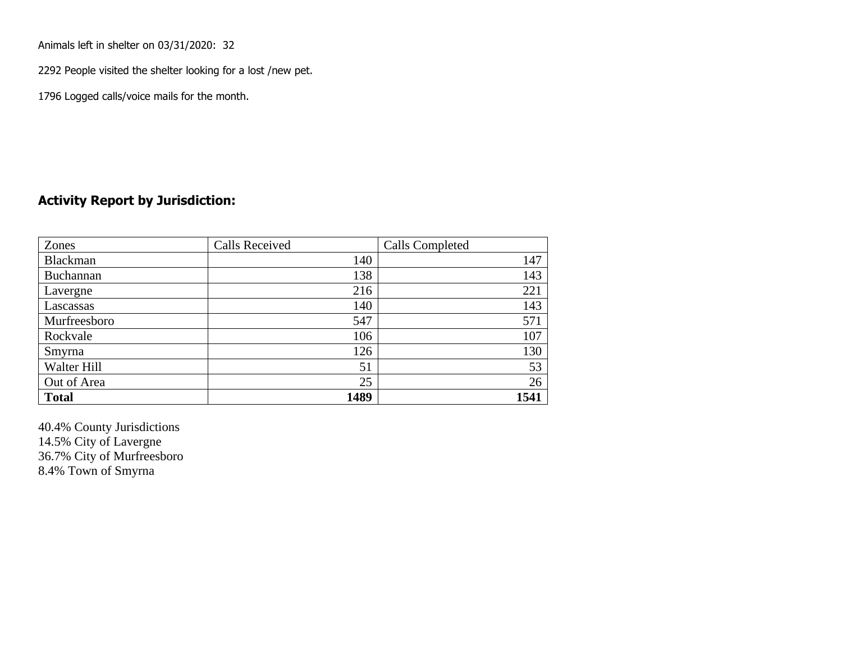Animals left in shelter on 03/31/2020: 32

2292 People visited the shelter looking for a lost /new pet.

1796 Logged calls/voice mails for the month.

### **Activity Report by Jurisdiction:**

| Zones        | <b>Calls Received</b> | Calls Completed |
|--------------|-----------------------|-----------------|
| Blackman     | 140                   | 147             |
| Buchannan    | 138                   | 143             |
| Lavergne     | 216                   | 221             |
| Lascassas    | 140                   | 143             |
| Murfreesboro | 547                   | 571             |
| Rockvale     | 106                   | 107             |
| Smyrna       | 126                   | 130             |
| Walter Hill  | 51                    | 53              |
| Out of Area  | 25                    | 26              |
| <b>Total</b> | 1489                  | 1541            |

40.4% County Jurisdictions 14.5% City of Lavergne 36.7% City of Murfreesboro 8.4% Town of Smyrna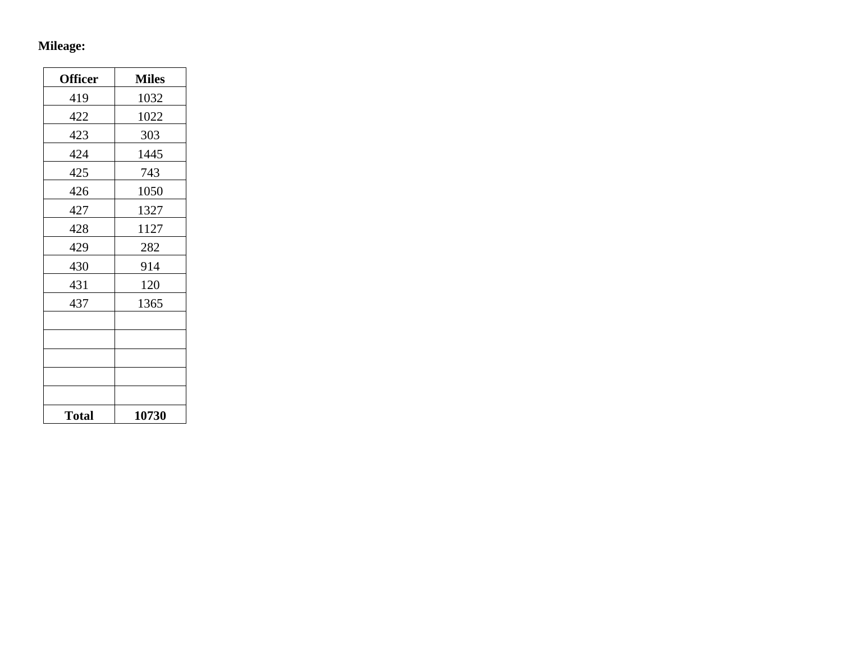# **Mileage:**

| <b>Officer</b> | <b>Miles</b> |
|----------------|--------------|
| 419            | 1032         |
| 422            | 1022         |
| 423            | 303          |
| 424            | 1445         |
| 425            | 743          |
| 426            | 1050         |
| 427            | 1327         |
| 428            | 1127         |
| 429            | 282          |
| 430            | 914          |
| 431            | 120          |
| 437            | 1365         |
|                |              |
|                |              |
|                |              |
|                |              |
|                |              |
| <b>Total</b>   | 10730        |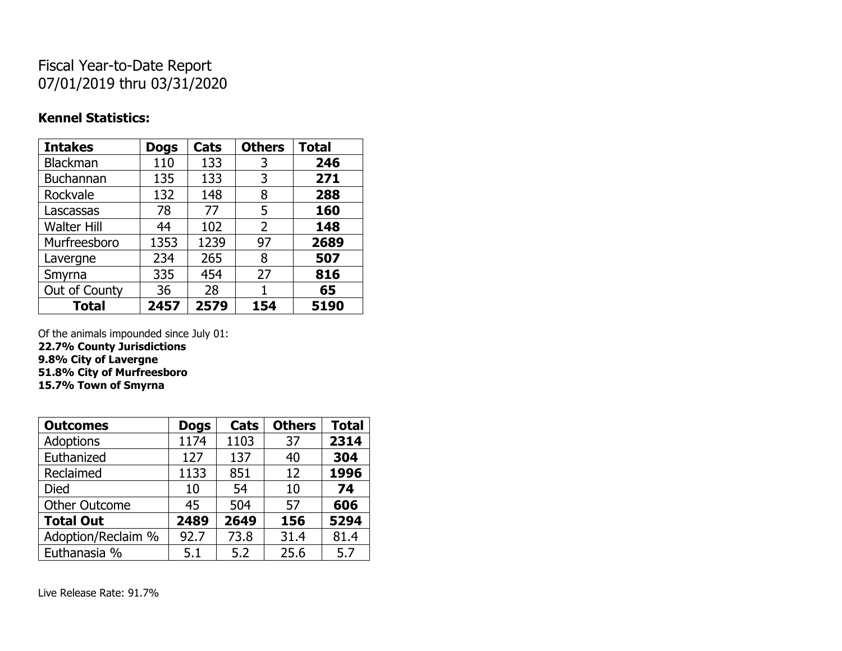## Fiscal Year-to-Date Report 07/01/2019 thru 03/31/2020

### **Kennel Statistics:**

| <b>Intakes</b>     | <b>Dogs</b> | Cats | <b>Others</b> | <b>Total</b> |
|--------------------|-------------|------|---------------|--------------|
| <b>Blackman</b>    | 110         | 133  | 3             | 246          |
| <b>Buchannan</b>   | 135         | 133  | 3             | 271          |
| Rockvale           | 132         | 148  | 8             | 288          |
| Lascassas          | 78          | 77   | 5             | 160          |
| <b>Walter Hill</b> | 44          | 102  | 2             | 148          |
| Murfreesboro       | 1353        | 1239 | 97            | 2689         |
| Lavergne           | 234         | 265  | 8             | 507          |
| Smyrna             | 335         | 454  | 27            | 816          |
| Out of County      | 36          | 28   | 1             | 65           |
| <b>Total</b>       | 2457        | 2579 | 154           | 5190         |

Of the animals impounded since July 01:

**22.7% County Jurisdictions 9.8% City of Lavergne 51.8% City of Murfreesboro**

**15.7% Town of Smyrna**

| <b>Outcomes</b>      | <b>Dogs</b> | Cats | <b>Others</b> | <b>Total</b> |
|----------------------|-------------|------|---------------|--------------|
| Adoptions            | 1174        | 1103 | 37            | 2314         |
| Euthanized           | 127         | 137  | 40            | 304          |
| Reclaimed            | 1133        | 851  | 12            | 1996         |
| <b>Died</b>          | 10          | 54   | 10            | 74           |
| <b>Other Outcome</b> | 45          | 504  | 57            | 606          |
| <b>Total Out</b>     | 2489        | 2649 | 156           | 5294         |
| Adoption/Reclaim %   | 92.7        | 73.8 | 31.4          | 81.4         |
| Euthanasia %         | 5.1         | 5.2  | 25.6          | 5.7          |

Live Release Rate: 91.7%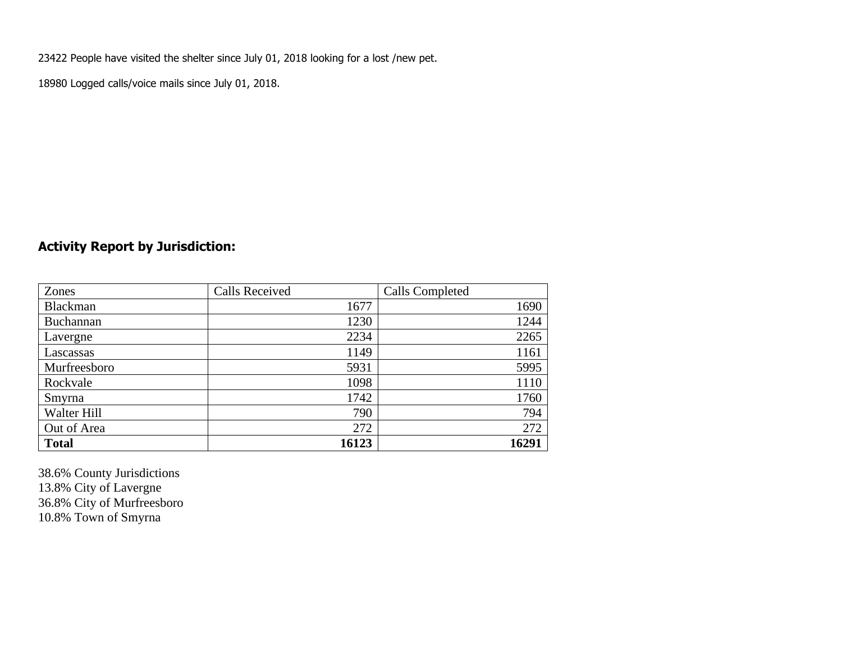23422 People have visited the shelter since July 01, 2018 looking for a lost /new pet.

18980 Logged calls/voice mails since July 01, 2018.

### **Activity Report by Jurisdiction:**

| Zones           | <b>Calls Received</b> | Calls Completed |
|-----------------|-----------------------|-----------------|
| <b>Blackman</b> | 1677                  | 1690            |
| Buchannan       | 1230                  | 1244            |
| Lavergne        | 2234                  | 2265            |
| Lascassas       | 1149                  | 1161            |
| Murfreesboro    | 5931                  | 5995            |
| Rockvale        | 1098                  | 1110            |
| Smyrna          | 1742                  | 1760            |
| Walter Hill     | 790                   | 794             |
| Out of Area     | 272                   | 272             |
| <b>Total</b>    | 16123                 | 16291           |

38.6% County Jurisdictions 13.8% City of Lavergne 36.8% City of Murfreesboro 10.8% Town of Smyrna